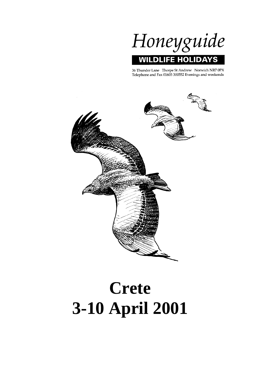

36 Thunder Lane Thorpe St Andrew Norwich NR7 0PX Telephone and Fax 01603 300552 Evenings and weekends



# **Crete 3-10 April 2001**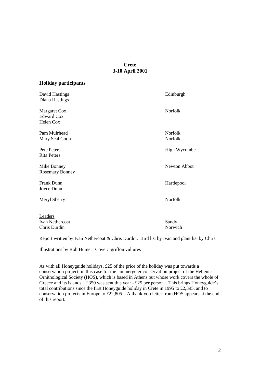# **Crete 3-10 April 2001**

# **Holiday participants**

| David Hastings<br>Diana Hastings               | Edinburgh                 |
|------------------------------------------------|---------------------------|
| Margaret Cox<br><b>Edward Cox</b><br>Helen Cox | Norfolk                   |
| Pam Muirhead<br>Mary Seal Coon                 | <b>Norfolk</b><br>Norfolk |
| Pete Peters<br><b>Rita Peters</b>              | High Wycombe              |
| Mike Bonney<br><b>Rosemary Bonney</b>          | Newton Abbot              |
| Frank Dunn<br>Joyce Dunn                       | Hartlepool                |
| Meryl Sherry                                   | Norfolk                   |
| Leaders<br>Ivan Nethercoat<br>Chris Durdin     | Sandy<br>Norwich          |

Report written by Ivan Nethercoat & Chris Durdin. Bird list by Ivan and plant list by Chris.

Illustrations by Rob Hume. Cover: griffon vultures

As with all Honeyguide holidays, £25 of the price of the holiday was put towards a conservation project, in this case for the lammergeier conservation project of the Hellenic Ornithological Society (HOS), which is based in Athens but whose work covers the whole of Greece and its islands. £350 was sent this year - £25 per person. This brings Honeyguide's total contributions since the first Honeyguide holiday in Crete in 1995 to £2,395, and to conservation projects in Europe to £22,805. A thank-you letter from HOS appears at the end of this report.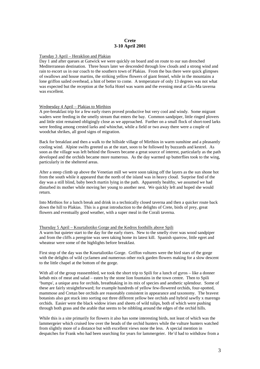# **Crete 3-10 April 2001**

# Tuesday 3 April – Heraklion and Plakias

Day 1 and after queues at Gatwick we were quickly on board and on route to our sun drenched Mediterranean destination. Three hours later we descended through low clouds and a strong wind and rain to escort us in our coach to the southern town of Plakias. From the bus there were quick glimpses of swallows and house martins, the striking yellow flowers of giant fennel, while in the mountains a lone griffon sailed overhead, a hint of better to come. A temperature of only 13 degrees was not what was expected but the reception at the Sofia Hotel was warm and the evening meal at Gio-Ma taverna was excellent.

#### Wednesday 4 April – Plakias to Mirthios

A pre-breakfast trip for a few early risers proved productive but very cool and windy. Some migrant waders were feeding in the smelly stream that enters the bay. Common sandpiper, little ringed plovers and little stint remained obligingly close as we approached. Further on a small flock of short-toed larks were feeding among crested larks and whinchat, while a field or two away there were a couple of woodchat shrikes, all good signs of migration.

Back for breakfast and then a walk to the hillside village of Mirthios in warm sunshine and a pleasantly cooling wind. Alpine swifts greeted us at the start, soon to be followed by buzzards and kestrel. As soon as the village was left behind the flowers became a great source of interest, particularly as the path developed and the orchids became more numerous. As the day warmed up butterflies took to the wing, particularly in the sheltered areas.

After a steep climb up above the Venetian mill we were soon taking off the layers as the sun shone hot from the south while it appeared that the north of the island was in heavy cloud. Surprise find of the day was a still blind, baby beech martin lying in the path. Apparently healthy, we assumed we had disturbed its mother while moving her young to another nest. We quickly left and hoped she would return.

Into Mirthios for a lunch break and drink in a technically closed taverna and then a quicker route back down the hill to Plakias. This is a great introduction to the delights of Crete, birds of prey, great flowers and eventually good weather, with a super meal in the Corali taverna.

#### Thursday 5 April – Kourtaliotiko Gorge and the Kedros foothills above Spili

A warm but quieter start to the day for the early risers. New to the smelly river was wood sandpiper and from the cliffs a peregrine was seen taking home its latest kill. Spanish sparrow, little egret and wheatear were some of the highlights before breakfast.

First stop of the day was the Kourtaliotiko Gorge. Griffon vultures were the bird stars of the gorge with the delights of wild cyclamen and numerous other rock garden flowers making for a slow descent to the little chapel at the bottom of the gorge.

With all of the group reassembled, we took the short trip to Spili for a lunch of gyros – like a donner kebab mix of meat and salad – eaten by the stone lion fountains in the town centre. Then to Spili 'bumps', a unique area for orchids, breathtaking in its mix of species and aesthetic splendour. Some of these are fairly straightforward; for example hundreds of yellow few-flowered orchids, four-spotted, mammose and Cretan bee orchids are reasonably consistent in appearance and taxonomy. The bravest botanists also got stuck into sorting out three different yellow bee orchids and hybrid sawfly x marengo orchids. Easier were the black widow irises and sheets of wild tulips, both of which were pushing through both grass and the arable that seems to be nibbling around the edges of the orchid hills.

While this is a site primarily for flowers it also has some interesting birds, not least of which was the lammergeier which cruised low over the heads of the orchid hunters while the vulture hunters watched from slightly more of a distance but with excellent views none the less. A special mention in despatches for Frank who had been searching for years for lammergeier. He'd had to withdraw from a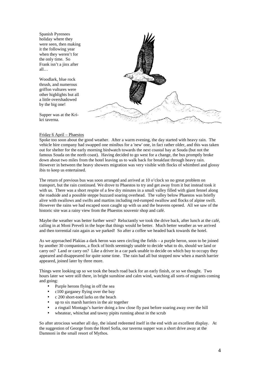Spanish Pyrenees holiday where they were seen, then making it the following year when they weren't for the only time. So Frank isn't a jinx after all…

Woodlark, blue rock thrush, and numerous griffon vultures were other highlights but all a little overshadowed by the big one!

Supper was at the Krikri taverna.



# Friday 6 April – Phaestos

Spoke too soon about the good weather. After a warm evening, the day started with heavy rain. The vehicle hire company had swapped one minibus for a 'new' one, in fact rather older, and this was taken out for shelter for the early morning birdwatch towards the next coastal bay at Souda (but not the famous Souda on the north coast). Having decided to go west for a change, the bus promptly broke down about two miles from the hotel leaving us to walk back for breakfast through heavy rain. However in between the heavy showers migration was very visible with flocks of whimbrel and glossy ibis to keep us entertained.

The return of previous bus was soon arranged and arrived at 10 o'clock so no great problem on transport, but the rain continued. We drove to Phaestos to try and get away from it but instead took it with us. There was a short respite of a few dry minutes in a small valley filled with giant fennel along the roadside and a possible steppe buzzard soaring overhead. The valley below Phaestos was briefly alive with swallows and swifts and martins including red-rumped swallow and flocks of alpine swift. However the rains we had escaped soon caught up with us and the heavens opened. All we saw of the historic site was a rainy view from the Phaestos souvenir shop and café.

Maybe the weather was better further west? Reluctantly we took the drive back, after lunch at the café, calling in at Moni Preveli in the hope that things would be better. Much better weather as we arrived and then torrential rain again as we parked! So after a coffee we headed back towards the hotel.

As we approached Plakias a dark heron was seen circling the fields – a purple heron, soon to be joined by another 30 companions, a flock of birds seemingly unable to decide what to do, should we land or carry on? Land or carry on? Like a driver in a car park unable to decide on which bay to occupy they appeared and disappeared for quite some time. The rain had all but stopped now when a marsh harrier appeared, joined later by three more.

Things were looking up so we took the beach road back for an early finish, or so we thought. Two hours later we were still there, in bright sunshine and calm wind, watching all sorts of migrants coming and going:

- Purple herons flying in off the sea
- c100 garganey flying over the bay
- c 200 short-toed larks on the beach
- up to six marsh harriers in the air together
- a ringtail Montagu's harrier doing a low close fly past before soaring away over the hill
- wheatear, whinchat and tawny pipits running about in the scrub

So after atrocious weather all day, the island redeemed itself in the end with an excellent display. At the suggestion of George from the Hotel Sofia, our taverna supper was a short drive away at the Damnoni in the small resort of Mythos.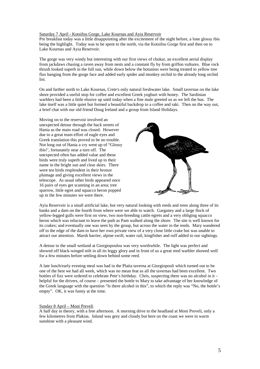# Saturday 7 April - Kotsifou Gorge, Lake Kournas and Ayia Reservoir

Pre breakfast today was a little disappointing after the excitement of the night before, a lone glossy ibis being the highlight. Today was to be spent to the north, via the Kotsifou Gorge first and then on to Lake Kournas and Ayia Reservoir.

The gorge was very windy but interesting with our first views of chukar, an excellent aerial display from jackdaws chasing a raven away from nests and a constant fly by from griffon vultures. Blue rock thrush looked superb in the full sun, while down below the botanists were being treated to yellow tree flax hanging from the gorge face and added early spider and monkey orchid to the already long orchid list.

On and farther north to Lake Kournas, Crete's only natural freshwater lake. Small tavernas on the lake shore provided a useful stop for coffee and excellent Greek yoghurt with honey. The Sardinian warblers had been a little elusive up until today when a fine male greeted us as we left the bus. The lake itself was a little quiet but formed a beautiful backdrop to a coffee and raki. Then on the way out, a brief chat with our old friend Doug Ireland and a group from Island Holidays.

Moving on to the reservoir involved an unexpected detour through the back streets of Hania as the main road was closed. However due to a great team effort of eagle eyes and Greek translation this proved to be no trouble. Not long out of Hania a cry went up of "Glossy ibis!', fortunately near a turn off. The unexpected often has added value and these birds were truly superb and lived up to their name in the bright sun and clear skies. There were ten birds resplendent in their bronze plumage and giving excellent views in the telescope. As usual other birds appeared once 16 pairs of eyes get scanning in an area; tree sparrow, little egret and squacco heron popped up in the few minutes we were there.



Ayia Reservoir is a small artificial lake, but very natural looking with reeds and trees along three of its banks and a dam on the fourth from where were we able to watch. Garganey and a large flock of yellow-legged gulls were first on view, two non-breeding cattle egrets and a very obliging squacco heron which was reluctant to leave the path as Pam walked along the shore. The site is well known for its crakes; and eventually one was seen by the group, but across the water in the reeds. Mary wandered off to the edge of the dam to have her own private view of a very close little crake but was unable to attract our attention. Marsh harrier, alpine swift, water rail, kingfisher and ruff added to our sightings.

A detour to the small wetland at Giorgiopoulou was very worthwhile. The light was perfect and showed off black-winged stilt in all its leggy glory and in front of us a great reed warbler showed well for a few minutes before settling down behind some reed.

A late lunch/early evening meal was had in the Platia taverna at Giorgiopouli which turned out to be one of the best we had all week, which was no mean feat as all the tavernas had been excellent. Two bottles of fizz were ordered to celebrate Pete's birthday. Chris, suspecting there was no alcohol in it – helpful for the drivers, of course – presented the bottle to Mary to take advantage of her knowledge of the Greek language with the question "Is there alcohol in this", to which the reply was "No, the bottle's empty". OK, it was funny at the time.

#### Sunday 8 April – Moni Preveli

A half day in theory, with a free afternoon. A morning drive to the headland at Moni Preveli, only a few kilometres from Plakias. Inland was grey and cloudy but here on the coast we were in warm sunshine with a pleasant wind.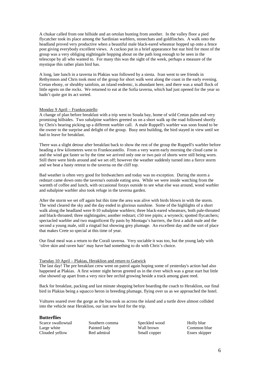A chukar called from one hillside and an ortolan bunting from another. In the valley floor a pied flycatcher took its place among the Sardinian warblers, stonechats and goldfinches. A walk onto the headland proved very productive when a beautiful male black-eared wheatear hopped up onto a fence post giving everybody excellent views. A cuckoo put in a brief appearance but star bird for most of the group was a very obliging nightingale hopping about on the path long enough to be seen in the telescope by all who wanted to. For many this was the sight of the week, perhaps a measure of the mystique this rather plain bird has.

A long, late lunch in a taverna in Plakias was followed by a siesta. Ivan went to see friends in Rethymnon and Chris took most of the group for short walk west along the coast in the early evening. Cretan ebony, or shrubby sainfoin, an island endemic, is abundant here, and there was a small flock of little egrets on the rocks. We returned to eat at the Sofia taverna, which had just opened for the year so hadn't quite got its act sorted.

#### Monday 9 April – Frankocastello

A change of plan before breakfast with a trip west to Souda bay, home of wild Cretan palm and very promising hillsides. Two subalpine warblers greeted us on a short walk up the road followed shortly by Chris's hearing picking up a different warbler call. A male Ruppell's warbler was soon found to be the owner to the surprise and delight of the group. Busy nest building, the bird stayed in view until we had to leave for breakfast.

There was a slight detour after breakfast back to show the rest of the group the Ruppell's warbler before heading a few kilometres west to Frankocastello. From a very warm early morning the cloud came in and the wind got faster so by the time we arrived only one or two pair of shorts were still being worn. Still there were birds around and we set off; however the weather suddenly turned into a fierce storm and we beat a hasty retreat to the taverna on the cliff top.

Bad weather is often very good for birdwatchers and today was no exception. During the storm a redstart came down onto the taverna's outside eating area. While we were inside watching from the warmth of coffee and lunch, with occasional forays outside to see what else was around, wood warbler and subalpine warbler also took refuge in the taverna garden.

After the storm we set off again but this time the area was alive with birds blown in with the storm. The wind cleared the sky and the day ended in glorious sunshine. Some of the highlights of a short walk along the headland were 8-10 subalpine warblers; three black-eared wheatears, both pale-throated and black-throated; three nightingales; another redstart; c50 tree pipits; a wryneck; spotted flycatchers; spectacled warbler and two magnificent fly pasts by Montagu's harriers, the first a adult male and the second a young male, still a ringtail but showing grey plumage. An excellent day and the sort of place that makes Crete so special at this time of year.

Our final meal was a return to the Corali taverna. Very sociable it was too, but the young lady with 'olive skin and raven hair' may have had something to do with Chris's choice.

# Tuesday 10 April – Plakias, Heraklion and return to Gatwick

The last day! The pre breakfast crew went on patrol again hoping some of yesterday's action had also happened at Plakias. A first winter night heron greeted us in the river which was a great start but little else showed up apart from a very nice bee orchid growing beside a track among giant reed.

Back for breakfast, packing and last minute shopping before boarding the coach to Heraklion, our final bird in Plakias being a squacco heron in breeding plumage, flying over us as we approached the hotel.

Vultures soared over the gorge as the bus took us across the island and a turtle dove almost collided into the vehicle near Heraklion, our last new bird for the trip.

#### **Butterflies**

Scarce swallowtail Large white Clouded yellow

Southern comma Painted lady Red admiral

Speckled wood Wall brown Small copper

Holly blue Common blue Essex skipper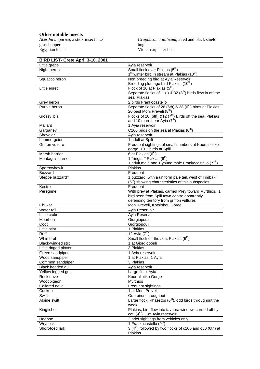# **Other notable insects**

*Acerdia ungarica*, a stick-insect like grasshopper Egyptian locust

*Graphasoma italicum*, a red and black shield bug Violet carpenter bee

| BIRD LIST- Crete April 3-10, 2001 |                                                                       |
|-----------------------------------|-----------------------------------------------------------------------|
| Little grebe                      | Ayia reservoir                                                        |
| Night heron                       | Small flock over Plakias (5 <sup>th</sup> )                           |
|                                   | 1 <sup>st</sup> winter bird in stream at Plakias (10 <sup>th</sup> )  |
| Squacco heron                     | Non breeding bird at Ayia Reservoir                                   |
|                                   | Breeding plumage bird Plakias (10 <sup>th</sup> )                     |
| Little egret                      | Flock of 10 at Plakias (5 <sup>th</sup> )                             |
|                                   | Separate flocks of 11() & 32 $(8^{th})$ birds flew in off the         |
|                                   | sea, Plakias                                                          |
| Grey heron                        | 2 birds Frankocastello                                                |
| Purple heron                      | Separate flocks of 26 (6th) & 38 (6 <sup>th</sup> ) birds at Plakias, |
|                                   | 20 past Moni Preveli (8 <sup>th</sup> )                               |
| Glossy ibis                       | Flocks of 10 (6th) $812 (7th)$ Birds off the sea, Plakias             |
|                                   | and 10 more near Ayia <sup>'</sup> (7 <sup>th</sup> )                 |
| Mallard                           | 1 Ayia reservoir                                                      |
|                                   |                                                                       |
| Garganey                          | C100 birds on the sea at Plakias (6 <sup>th</sup> )                   |
| Shoveler                          | Ayia reservoir                                                        |
| Lammergeier                       | 1 adult at Spili                                                      |
| <b>Griffon vulture</b>            | Frequent sightings of small numbers at Kourtaliotiko                  |
|                                   | gorge, 10 + birds at Spili                                            |
| Marsh harrier                     | 6 at Plakias (6 <sup>th</sup> )                                       |
| Montagu's harrier                 | 1 "ringtail" Plakias (6 <sup>th</sup> )                               |
|                                   | 1 adult male and 1 young male Frankocastello (9 <sup>th</sup> )       |
| Sparrowhawk                       | Plakias                                                               |
| <b>Buzzard</b>                    | Frequent                                                              |
| Steppe buzzard?                   | 1 buzzard, with a uniform pale tail, west of Timbaki                  |
|                                   | (6 <sup>th</sup> ) showing characteristics of this subspecies         |
| Kestrel                           | Frequent                                                              |
| Peregrine                         | With prey at Plakias, carried Prey toward Myrthios. 1                 |
|                                   | bird seen from Spili town centre apparently                           |
|                                   | defending territory from griffon vultures                             |
| Chukar                            | Moni Preveli, Kotsiphou Gorge                                         |
| Water rail                        | Ayia Reservoir                                                        |
| Little crake                      | Ayia Reservoir                                                        |
| Moorhen                           | Giorgiopouli                                                          |
| Coot                              | Giorgiopouli                                                          |
| Little stint                      | 1 Plakias                                                             |
| Ruff                              | $12$ Ayia $(7th)$                                                     |
| Whimbrel                          | Small flock off the sea, Plakias (6 <sup>th</sup> )                   |
| <b>Black-winged stilt</b>         | 1 at Giorgiopouli                                                     |
| Little ringed plover              | 3 Plakias                                                             |
| Green sandpiper                   | 1 Ayia reservoir                                                      |
| Wood sandpiper                    | 1 at Plakias, 1 Ayia                                                  |
| Common sandpiper                  | 3 Plakias                                                             |
| Black headed gull                 | Ayia reservoir                                                        |
|                                   |                                                                       |
| Yellow-legged gull                | Large flock Ayia                                                      |
| Rock dove                         | Kourtaliotiko Gorge                                                   |
| Woodpigeon                        | <b>Myrthios</b>                                                       |
| Collared dove                     | Frequent sightings                                                    |
| Cuckoo                            | 1 at Moni Preveli                                                     |
| Swift                             | Odd birds throughout                                                  |
| Alpine swift                      | Large flock, Phaestos $(6th)$ , odd birds throughout the              |
|                                   | week.                                                                 |
| Kingfisher                        | Plakias, bird flew into taverna window, carried off by                |
|                                   | cat! (4 <sup>th</sup> ) 1 at Ayia reservoir                           |
| Hoopoe                            | 2 brief sightings from vehicles only                                  |
| Wryneck                           | 1 Frankocastello (9 <sup>th</sup> )                                   |
| Short-toed lark                   | $3(4th)$ followed by two flocks of c100 and c50 (6th) at              |
|                                   | Plakias                                                               |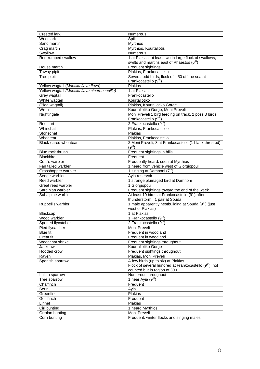| Crested lark                                   | <b>Numerous</b>                                                  |
|------------------------------------------------|------------------------------------------------------------------|
| Woodlark                                       | Spili                                                            |
| Sand martin                                    | <b>Myrthios</b>                                                  |
| Crag martin                                    | Myrthios, Kourtaliotis                                           |
| Swallow                                        | Numerous                                                         |
| Red-rumped swallow                             | 1 at Plakias, at least two in large flock of swallows,           |
|                                                | swifts and martins east of Phaestos (6 <sup>th</sup> )           |
| House martin                                   | Frequent sightings                                               |
| Tawny pipit                                    | Plakias, Frankocastello                                          |
| Tree pipit                                     | Several odd birds, flock of c.50 off the sea at                  |
|                                                | Frankocastello (9 <sup>th</sup> )                                |
| Yellow wagtail (Montilla flava flava)          | Plakias                                                          |
| Yellow wagtail (Montilla flava cinereocapilla) | 1 at Plakias                                                     |
| Grey wagtail                                   | Frankocastello                                                   |
| White wagtail                                  | Kourtaliotiko                                                    |
| (Pied wagtail)                                 | Plakias, Kourtaliotiko Gorge                                     |
| Wren                                           | Kourtaliotiko Gorge, Moni Preveli                                |
| Nightingale <sup>®</sup>                       | Moni Preveli 1 bird feeding on track, 2 poss 3 birds             |
|                                                | Frankocastello (9 <sup>th</sup> )                                |
| Redstart                                       | 2 Frankocastello (9 <sup>th</sup> )                              |
| Whinchat                                       | Plakias, Frankocastello                                          |
| Stonechat                                      | Plakias                                                          |
| Wheatear                                       | Plakias, Frankocastello                                          |
| Black-eared wheatear                           | 2 Moni Preveli, 3 at Frankocastello (1 black-throated)           |
|                                                | (9 <sup>th</sup> )                                               |
|                                                |                                                                  |
| Blue rock thrush<br><b>Blackbird</b>           | Frequent sightings in hills                                      |
|                                                | Frequent                                                         |
| Cetti's warbler                                | Frequently heard, seen at Myrthios                               |
| Fan tailed warbler                             | 1 heard from vehicle west of Giorgiopouli                        |
| Grasshopper warbler                            | 1 singing at Damnoni $(7^{\text{th}})$                           |
| Sedge warbler                                  | Ayia reservoir                                                   |
| Reed warbler                                   | 1 strange plumaged bird at Damnoni                               |
| Great reed warbler                             | 1 Giorgiopouli                                                   |
| Sardinian warbler                              | Frequent sightings toward the end of the week                    |
| Subalpine warbler                              | At least 10 birds at Frankocastello (9 <sup>th</sup> ) after     |
|                                                | thunderstorm. 1 pair at Souda                                    |
| Ruppell's warbler                              | 1 male apparently nestbuilding at Souda (9 <sup>th</sup> ) (just |
|                                                | west of Plakias)                                                 |
| Blackcap                                       | 1 at Plakias                                                     |
| Wood warbler                                   | 1 Frankocastello (9th                                            |
| Spotted flycatcher                             | 2 Frankocastello $(9^{th})$                                      |
| Pied flycatcher                                | Moni Preveli                                                     |
| Blue tit                                       | Frequent in woodland                                             |
| Great tit                                      | Frequent in woodland                                             |
| Woodchat shrike                                | Frequent sightings throughout                                    |
| Jackdaw                                        | Kourtaliotiko Gorge                                              |
| Hooded crow                                    | Frequent sightings throughout                                    |
| Raven                                          | Plakias, Moni Preveli                                            |
| Spanish sparrow                                | A few birds (up to six) at Plakias                               |
|                                                | Flock of several hundred at Frankocastello $(9th)$ ; not         |
|                                                | counted but in region of 300                                     |
| Italian sparrow                                | Numerous throughout                                              |
| Tree sparrow                                   | 1 near Ayia (9 <sup>th</sup> )                                   |
| Chaffinch                                      | Frequent                                                         |
| Serin                                          | Ayia                                                             |
| Greenfinch                                     | Plakias                                                          |
| Goldfinch                                      | Frequent                                                         |
| Linnet                                         | Plakias                                                          |
| Cirl bunting                                   | 1 heard Myrthios                                                 |
| Ortolan bunting                                | Moni Preveli                                                     |
| Corn bunting                                   | Frequent, winter flocks and singing males                        |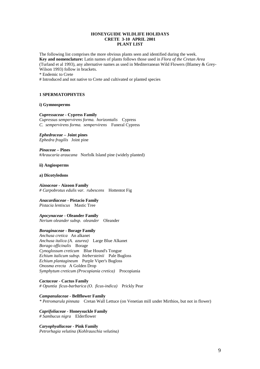# **HONEYGUIDE WILDLIFE HOLIDAYS CRETE 3-10 APRIL 2001 PLANT LIST**

The following list comprises the more obvious plants seen and identified during the week. **Key and nomenclature:** Latin names of plants follows those used in *Flora of the Cretan Area* (Turland et al 1993), any alternative names as used in Mediterranean Wild Flowers (Blamey & Grey-Wilson 1993) follow in brackets.

\* Endemic to Crete

# Introduced and not native to Crete and cultivated or planted species

# **1 SPERMATOPHYTES**

#### **i) Gymnosperms**

#### *Cupressaceae -* **Cypress Family**

*Cupressus sempervirens forma. horizontalis* Cypress *C. sempervirens forma. sempervirens* Funeral Cypress

#### *Ephedraceae –* **Joint pines** *Ephedra fragilis* Joint pine

*Pinaceae –* **Pines** #*Araucaria araucana* Norfolk Island pine (widely planted)

# **ii) Angiosperms**

#### **a) Dicotyledons**

### *Aizoaceae -* **Aizoon Family** *# Carpobrotus edulis var. rubescens* Hottentot Fig

#### *Anacardiaceae* **- Pistacio Family** *Pistacia lentiscus* Mastic Tree

*Apocynaceae -* **Oleander Family** *Nerium oleander subsp. oleander* Oleander

# *Boraginaceae* **- Borage Family**

*Anchusa cretica* An alkanet *Anchusa italica (A. azurea)* Large Blue Alkanet *Borago officinalis* Borage *Cynoglossum creticum* Blue Hound's Tongue *Echium italicum subsp. biebersteinii* Pale Bugloss *Echium plantagineum* Purple Viper's Bugloss *Onosma erecta* A Golden Drop *Symphytum creticum (Procopiania cretica)* Procopiania

*Cactaceae* **- Cactus Family** *# Opuntia ficus-barbarica (O. ficus-indica)* Prickly Pear

*Campanulaceae* **- Bellflower Family** *\* Petromarula pinnata* Cretan Wall Lettuce (on Venetian mill under Mirthios, but not in flower)

*Caprifoliaceae -* **Honeysuckle Family** *# Sambucus nigra* Elderflower

*Caryophyallaceae* **- Pink Family** *Petrorhagia velutina (Kohlrauschia velutina)*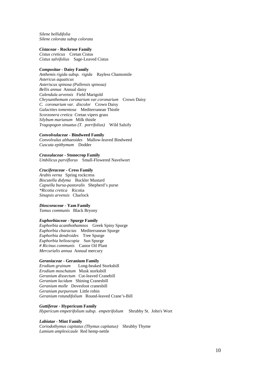*Silene bellidifolia Silene colorata subsp colorata*

#### *Cistaceae* **- Rockrose Family**

*Cistus creticus* Cretan Cistus *Cistus salvifolius* Sage-Leaved Cistus

# *Compositae* **- Daisy Family**

*Anthemis rigida subsp. rigida* Rayless Chamomile *Astericus aquaticus Asteriscus spinosa (Pallensis spinosa) Bellis annua* Annual daisy *Calendula arvensis* Field Marigold *Chrysanthemum coronarium var.coronarium* Crown Daisy *C. coronarium var. discolor* Crown Daisy *Galactites tomentosa* Mediterranean Thistle *Scorzonera cretica* Cretan vipers grass *Silybum marianum* Milk thistle *Tragopogon sinuatus (T. porrifolius)* Wild Salsify

# *Convolvulaceae* **- Bindweed Family**

*Convolvulus althaeoides* Mallow-leaved Bindweed *Cuscuta epithymum* Dodder

*Crassulaceae* **- Stonecrop Family** *Umbilicus parviflorus* Small-Flowered Navelwort

# *Cruciferaceae* **- Cress Family**

*Arabis verna* Spring rockcress *Biscutella didyma* Buckler Mustard *Capsella bursa-pastoralis* Shepherd's purse *\*Ricotia cretica* Ricotia *Sinapsis arvensis* Charlock

# *Dioscoraceae* **- Yam Family**

*Tamus communis* Black Bryony

# *Euphorbiaceae* **- Spurge Family**

*Euphorbia acanthothamnos* Greek Spiny Spurge *Euphorbia characias* Mediterranean Spurge *Euphorbia dendroides* Tree Spurge *Euphorbia helioscopia* Sun Spurge *# Ricinus communis* Castor Oil Plant *Mercurialis annua* Annual mercury

# *Geraniaceae* **- Geranium Family**

*Erodium gruinum* Long-beaked Storksbill *Erodium moschatum* Musk storksbill *Geranium dissectum* Cut-leaved Cranebill *Geranium lucidum* Shining Cranesbill *Geranium molle* Dovesfoot cranesbill *Geranium purpureum* Little robin *Geranium rotundifolium* Round-leaved Crane's-Bill

# *Guttiferae -* **Hypericum Family**

*Hypericum empetrifolium subsp. empetrifolium* Shrubby St. John's Wort

# *Labiatae* **- Mint Family**

*Coriodothymus capitatus (Thymus capitatus)* Shrubby Thyme *Lamium amplexicaule* Red hemp-nettle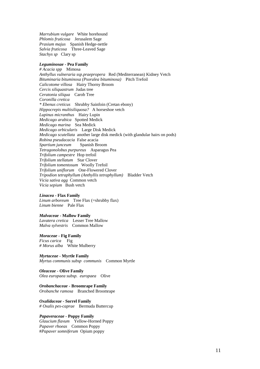*Marrubium vulgare* White horehound *Phlomis fruticosa* Jerusalem Sage *Prasium majus* Spanish Hedge-nettle *Salvia fruticosa* Three-Leaved Sage *Stachys sp* Clary sp

# *Leguminosae* **- Pea Family**

*# Acacia spp* Mimosa *Anthyllus vulneraria ssp.praepropera* Red (Mediterranean) Kidney Vetch *Bituminaria bituminosa (Psoralea bituminosa)* Pitch Trefoil *Calicotome villosa* Hairy Thorny Broom *Cercis siliquastrum* Judas tree *Ceratonia siliqua* Carob Tree *Coronilla cretica \* Ebenus creticus* Shrubby Sainfoin (Cretan ebony) *Hippocrepis multisiliquosa?* A horseshoe vetch *Lupinus micranthus* Hairy Lupin *Medicago arabica* Spotted Medick *Medicago marina* Sea Medick *Medicago orbicularis* Large Disk Medick *Medicago scutellata* another large disk medick (with glandular hairs on pods) *Robina pseudacacia* False acacia *Spartium junceum* Spanish Broom *Tetragonolobus purpureus* Asparagus Pea *Trifolium campestre* Hop trefoil *Trifolium stellatum* Star Clover *Trifolium tomentosum* Woolly Trefoil *Trifolium uniflorum* One-Flowered Clover *Tripodion tetraphyllum (Anthyllis tetraphyllum)* Bladder Vetch *Vicia sativa agg* Common vetch *Vicia sepium* Bush vetch

#### *Linacea -* **Flax Family**

*Linum arboreum* Tree Flax (=shrubby flax) *Linum bienne* Pale Flax

#### *Malvaceae* **- Mallow Family**

*Lavatera cretica* Lesser Tree Mallow *Malva sylvestris* Common Mallow

# *Moraceae -* **Fig Family**

*Ficus carica* Fig *# Morus alba* White Mulberry

*Myrtaceae -* **Myrtle Family** *Myrtus communis subsp communis* Common Myrtle

*Oleaceae* **- Olive Family** *Olea europaea subsp. europaea* Olive

*Orobanchaceae* **- Broomrape Family** *Orobanche ramosa* Branched Broomrape

*Oxalidaceae* **- Sorrel Family** *# Oxalis pes-caprae* Bermuda Buttercup

#### *Papaveraceae -* **Poppy Family**

*Glaucium flavum* Yellow-Horned Poppy *Papaver rhoeas* Common Poppy #*Papaver somniferum* Opium poppy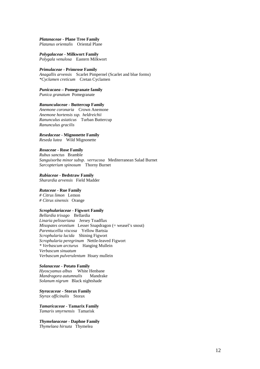#### *Platanaceae* **- Plane Tree Family** *Platanus orientalis* Oriental Plane

*Polygalaceae* **- Milkwort Family** *Polygala venulosa* Eastern Milkwort

# *Primulaceae* **- Primrose Family**

*Anagallis arvensis* Scarlet Pimpernel (Scarlet and blue forms) *\*Cyclamen creticum* Cretan Cyclamen

*Punicacaea* **– Pomegranate family** *Punica granatum* Pomegranate

# *Ranunculaceae* **- Buttercup Family**

*Anemone coronaria* Crown Anemone *Anemone hortensis ssp. heldreichii Ranunculus asiaticus* Turban Buttercup *Ranunculus gracilis*

#### *Resedaceae* **- Mignonette Family**

*Reseda lutea* Wild Mignonette

#### *Rosaceae* **- Rose Family**

*Rubus sanctus* Bramble *Sanguisorba minor subsp. verrucosa* Mediterranean Salad Burnet *Sarcopterium spinosum* Thorny Burnet

*Rubiaceae -* **Bedstraw Family**

*Sharardia arvensis* Field Madder

# *Rutaceae -* **Rue Family**

*# Citrus limon* Lemon *# Citrus sinensis* Orange

# *Scrophulariaceae* **- Figwort Family**

*Bellardia trixago* Bellardia *Linaria pelisseriana* Jersey Toadflax *Misopates orontium* Lesser Snapdragon (= weasel's snout) *Parentucellia viscosa* Yellow Bartsia *Scrophularia lucida* Shining Figwort *Scrophularia peregrinum* Nettle-leaved Figwort *\* Verbascum arcturus* Hanging Mullein *Verbascum sinuatum Verbascum pulverulentum* Hoary mullein

# *Solanaceae* **- Potato Family**

*Hyoscyamus albus* White Henbane *Mandragora autumnalis* Mandrake *Solanum nigrum* Black nightshade

*Styracaceae* **- Storax Family** *Styrax officinalis* Storax

*Tamaricaceae* **- Tamarix Family** *Tamarix smyrnensis* Tamarisk

*Thymelaeaceae* **- Daphne Family** *Thymelaea hirsuta* Thymelea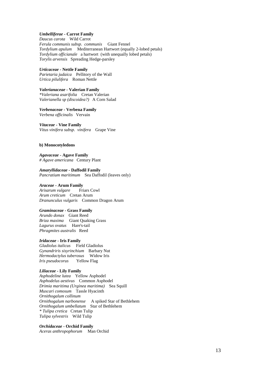# *Umbelliferae* **- Carrot Family**

*Daucus carota* Wild Carrot *Ferula communis subsp. communis* Giant Fennel *Tordylium apulum* Mediterranean Hartwort (equally 2-lobed petals) *Tordylium officianale* a hartwort (with unequally lobed petals) *Torylis arvensis* Spreading Hedge-parsley

# *Urticaceae -* **Nettle Family**

*Parietaria judaica* Pellitory of the Wall *Urtica pilulifera* Roman Nettle

*Valerianaceae* **- Valerian Family** *\*Valeriana asarifolia* Cretan Valerian *Valerianella sp (discoidea?)* A Corn Salad

*Verbenaceae* **- Verbena Family** *Verbena officinalis* Vervain

*Vitaceae* **- Vine Family** *Vitus vinifera subsp. vinifera* Grape Vine

#### **b) Monocotyledons**

*Agavaceae* **- Agave Family** *# Agave americana* Century Plant

*Amaryllidaceae -* **Daffodil Family** *Pancratium maritimum* Sea Daffodil (leaves only)

*Araceae* **- Arum Family** *Arisarum vulgare Arum creticum* Cretan Arum *Dranunculus vulgaris* Common Dragon Arum

# *Graminaceae* **- Grass Family**

*Arundo donax* Giant Reed *Briza maxima* Giant Quaking Grass *Lagurus ovatus* Hare's-tail *Phragmites australis* Reed

#### *Iridaceae* **- Iris Family**

*Gladiolus italicus* Field Gladiolus *Gynandriris sisyrinchium* Barbary Nut *Hermodactylus tuberosus* Widow Iris *Iris pseudocorus* Yellow Flag

# *Liliaceae* **- Lily Family**

*Asphodeline lutea* Yellow Asphodel *Asphodelus aestivus* Common Asphodel *Drimia maritima (Urginea maritima)* Sea Squill *Muscari comosum* Tassle Hyacinth *Ornithogalum collinum Ornithogalum narbonense* A spiked Star of Bethlehem *Ornithogalum umbellatum* Star of Bethlehem *\* Tulipa cretica* Cretan Tulip *Tulipa sylvestris* Wild Tulip

# *Orchidaceae* **- Orchid Family**

*Aceras anthropophorum* Man Orchid